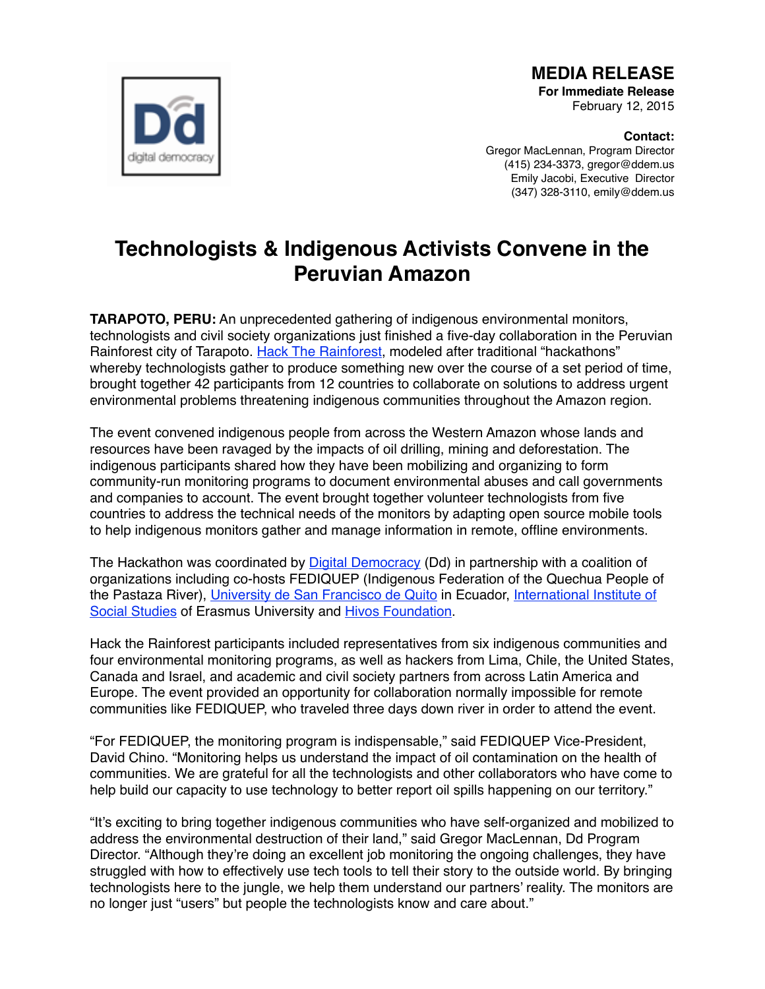

**MEDIA RELEASE For Immediate Release** 

February 12, 2015

**Contact:** Gregor MacLennan, Program Director (415) 234-3373, gregor@ddem.us Emily Jacobi, Executive Director (347) 328-3110, emily@ddem.us

## **Technologists & Indigenous Activists Convene in the Peruvian Amazon**

**TARAPOTO, PERU:** An unprecedented gathering of indigenous environmental monitors, technologists and civil society organizations just finished a five-day collaboration in the Peruvian Rainforest city of Tarapoto. [Hack The Rainforest,](http://www.hacktherainforest.org/) modeled after traditional "hackathons" whereby technologists gather to produce something new over the course of a set period of time, brought together 42 participants from 12 countries to collaborate on solutions to address urgent environmental problems threatening indigenous communities throughout the Amazon region.

The event convened indigenous people from across the Western Amazon whose lands and resources have been ravaged by the impacts of oil drilling, mining and deforestation. The indigenous participants shared how they have been mobilizing and organizing to form community-run monitoring programs to document environmental abuses and call governments and companies to account. The event brought together volunteer technologists from five countries to address the technical needs of the monitors by adapting open source mobile tools to help indigenous monitors gather and manage information in remote, offline environments.

The Hackathon was coordinated by [Digital Democracy](http://www.digital-democracy.org/) (Dd) in partnership with a coalition of organizations including co-hosts FEDIQUEP (Indigenous Federation of the Quechua People of the Pastaza River), [University de San Francisco de Quito](http://www.usfq.edu.ec/) in Ecuador, International Institute of Social Studies of Erasmus University and Hivos Foundation.

Hack the Rainforest participants included representatives from six indigenous communities and four environmental monitoring programs, as well as hackers from Lima, Chile, the United States, Canada and Israel, and academic and civil society partners from across Latin America and Europe. The event provided an opportunity for collaboration normally impossible for remote communities like FEDIQUEP, who traveled three days down river in order to attend the event.

"For FEDIQUEP, the monitoring program is indispensable," said FEDIQUEP Vice-President, David Chino. "Monitoring helps us understand the impact of oil contamination on the health of communities. We are grateful for all the technologists and other collaborators who have come to help build our capacity to use technology to better report oil spills happening on our territory."

"It's exciting to bring together indigenous communities who have self-organized and mobilized to address the environmental destruction of their land," said Gregor MacLennan, Dd Program Director. "Although they're doing an excellent job monitoring the ongoing challenges, they have struggled with how to effectively use tech tools to tell their story to the outside world. By bringing technologists here to the jungle, we help them understand our partners' reality. The monitors are no longer just "users" but people the technologists know and care about."